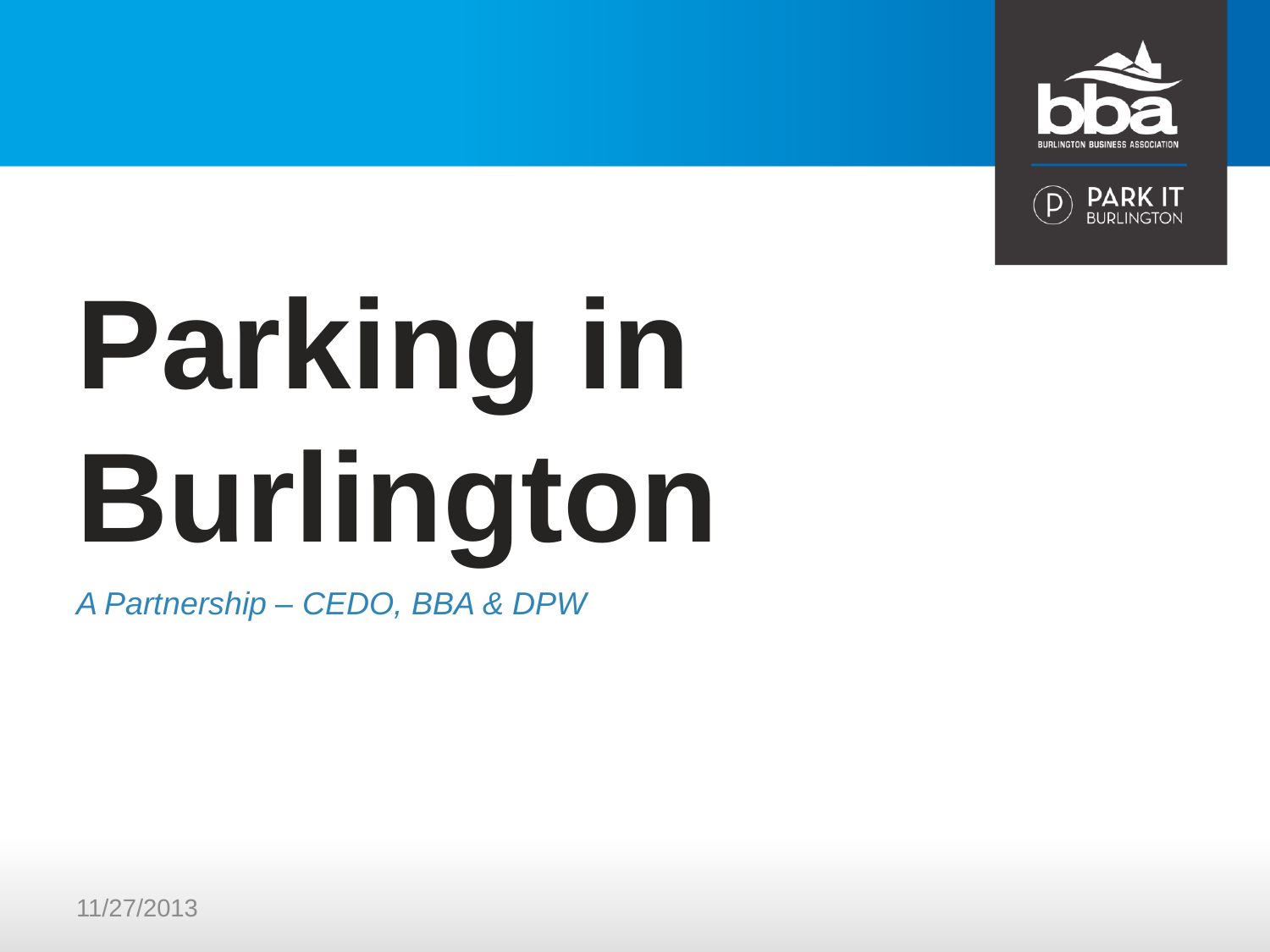



# **Parking in Burlington**

*A Partnership – CEDO, BBA & DPW*

11/27/2013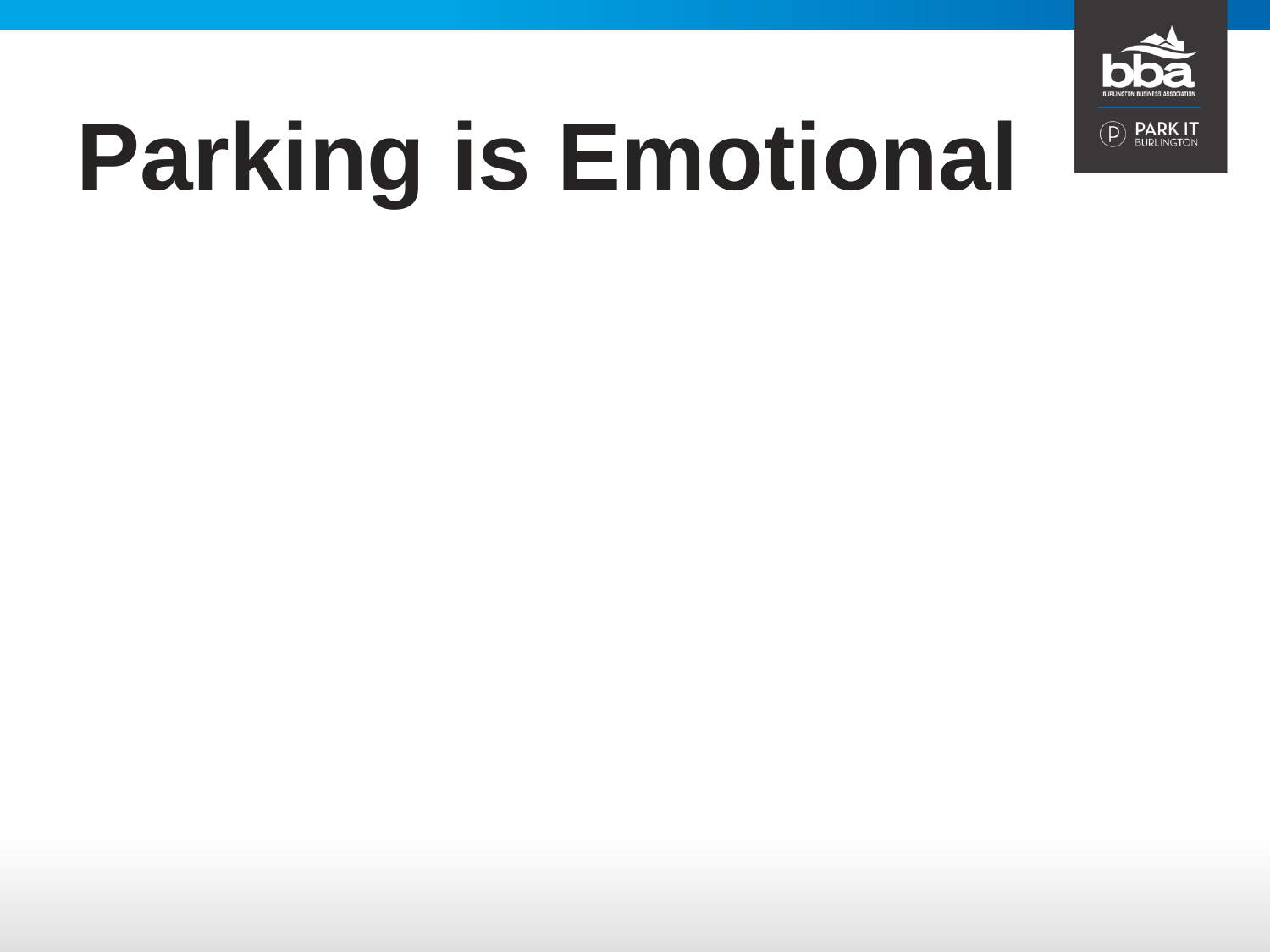

## **Parking is Emotional**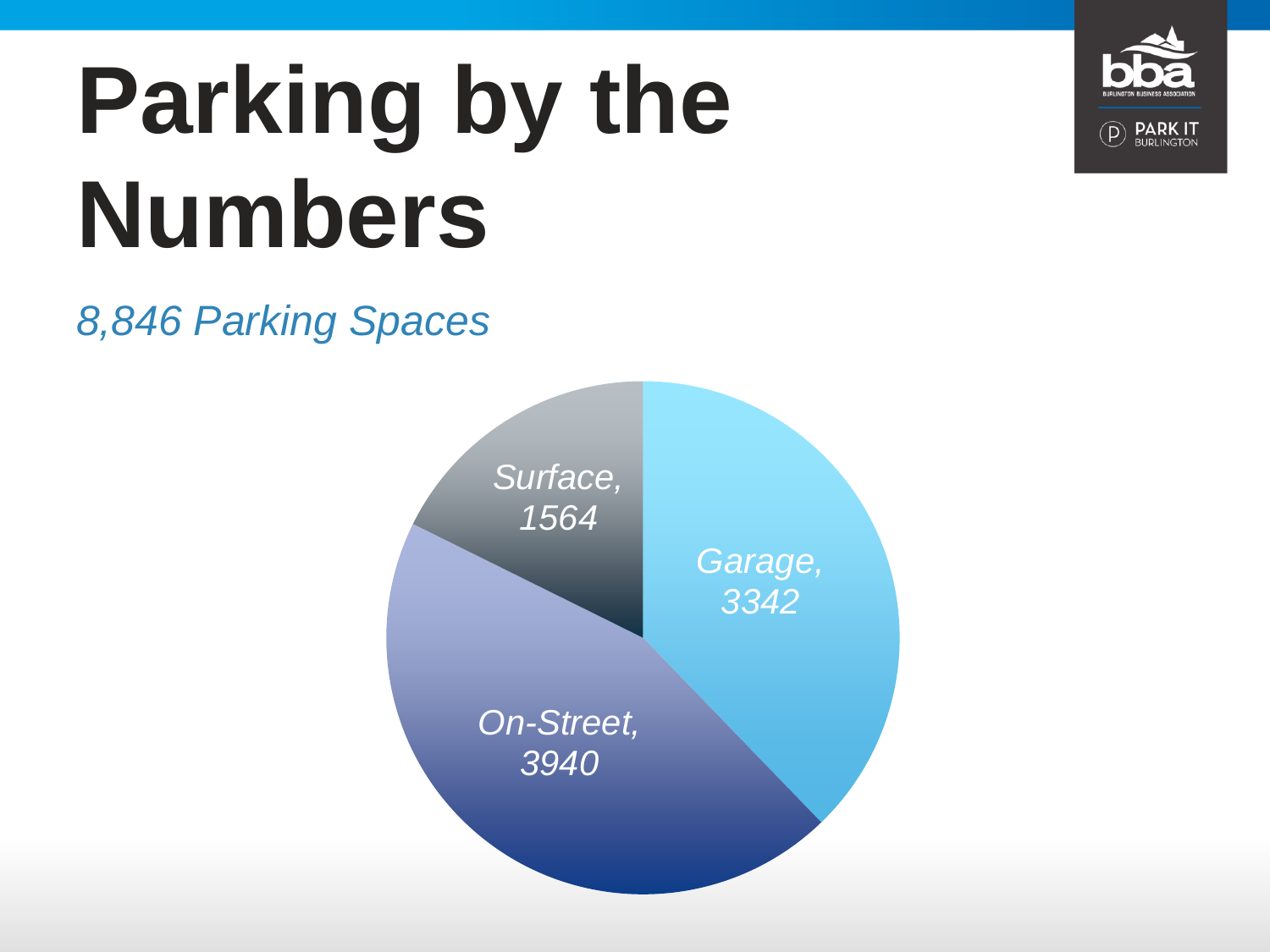### **Parking by the Numbers**

*8,846 Parking Spaces*



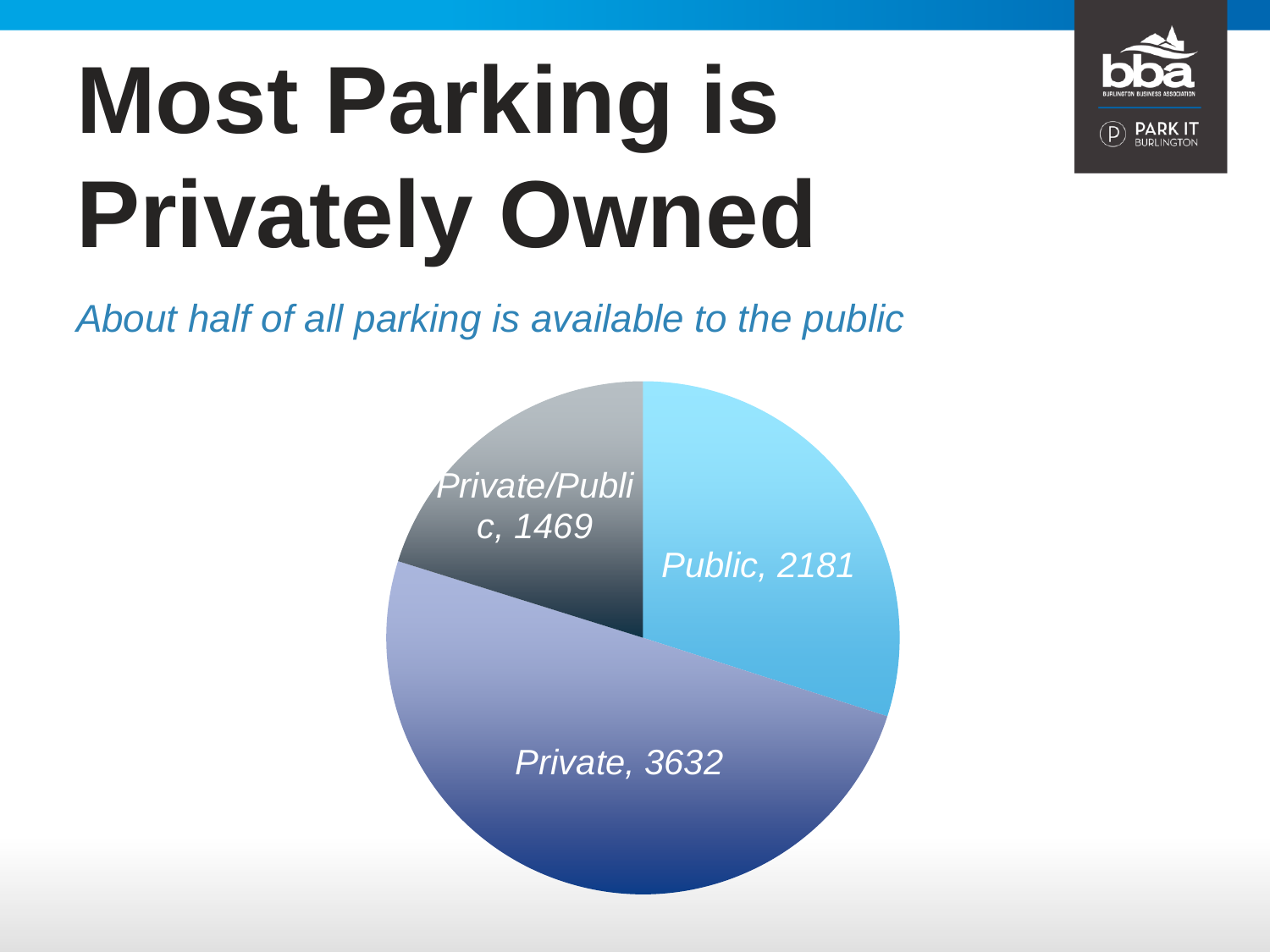# **Most Parking is Privately Owned**



*About half of all parking is available to the public*

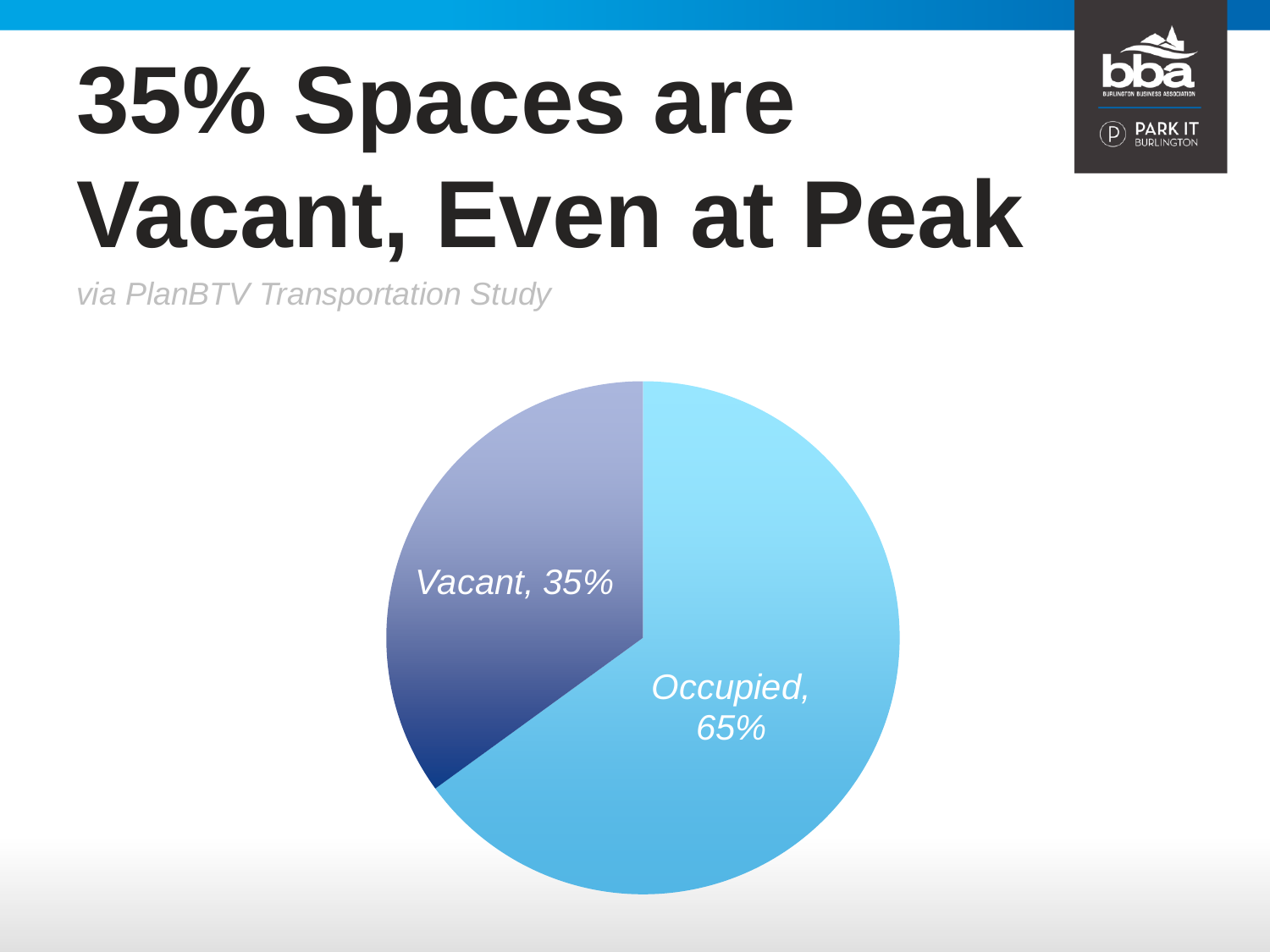

### **35% Spaces are Vacant, Even at Peak**

*via PlanBTV Transportation Study*

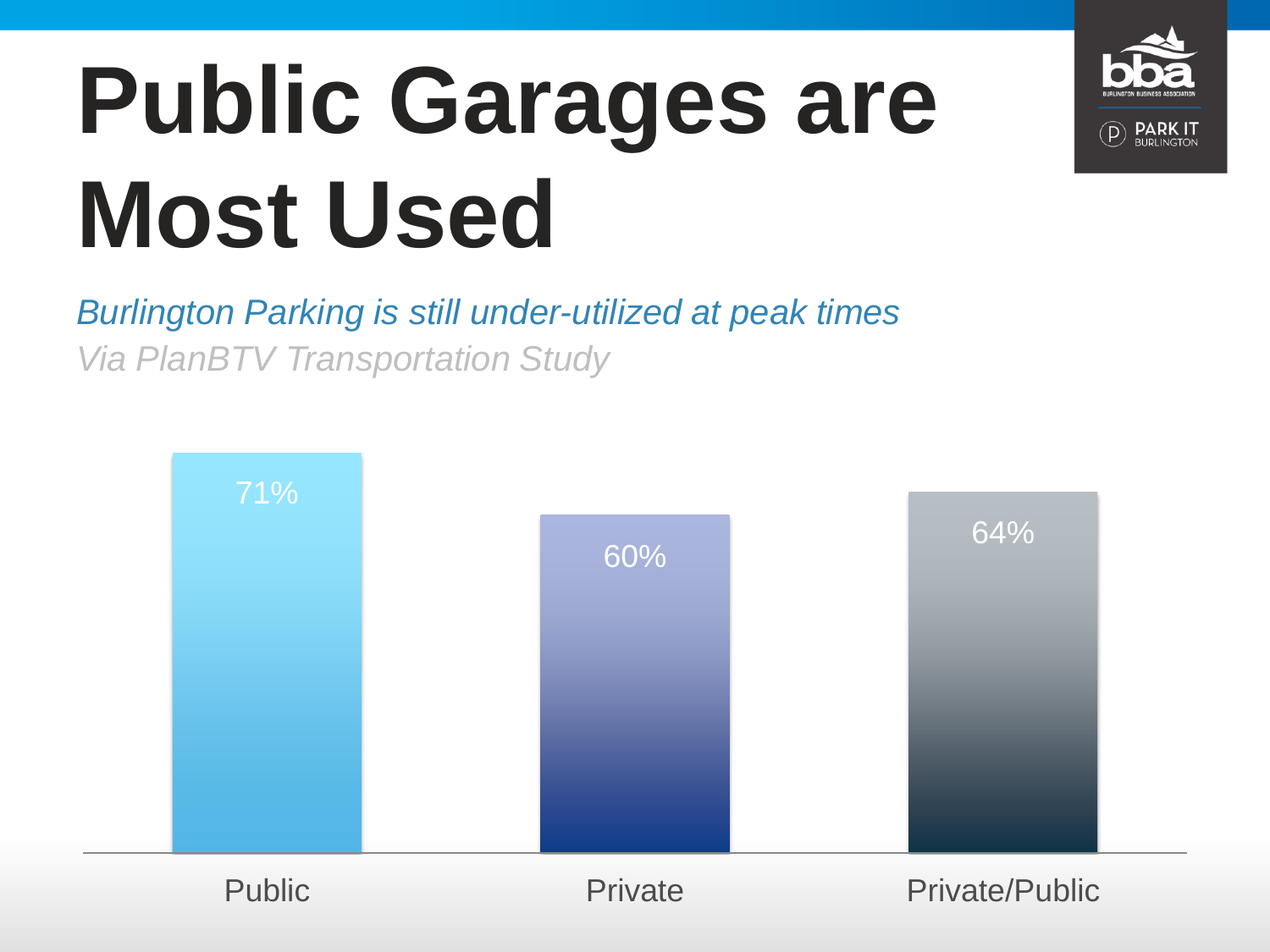# **Public Garages are Most Used**

*Burlington Parking is still under-utilized at peak times Via PlanBTV Transportation Study*

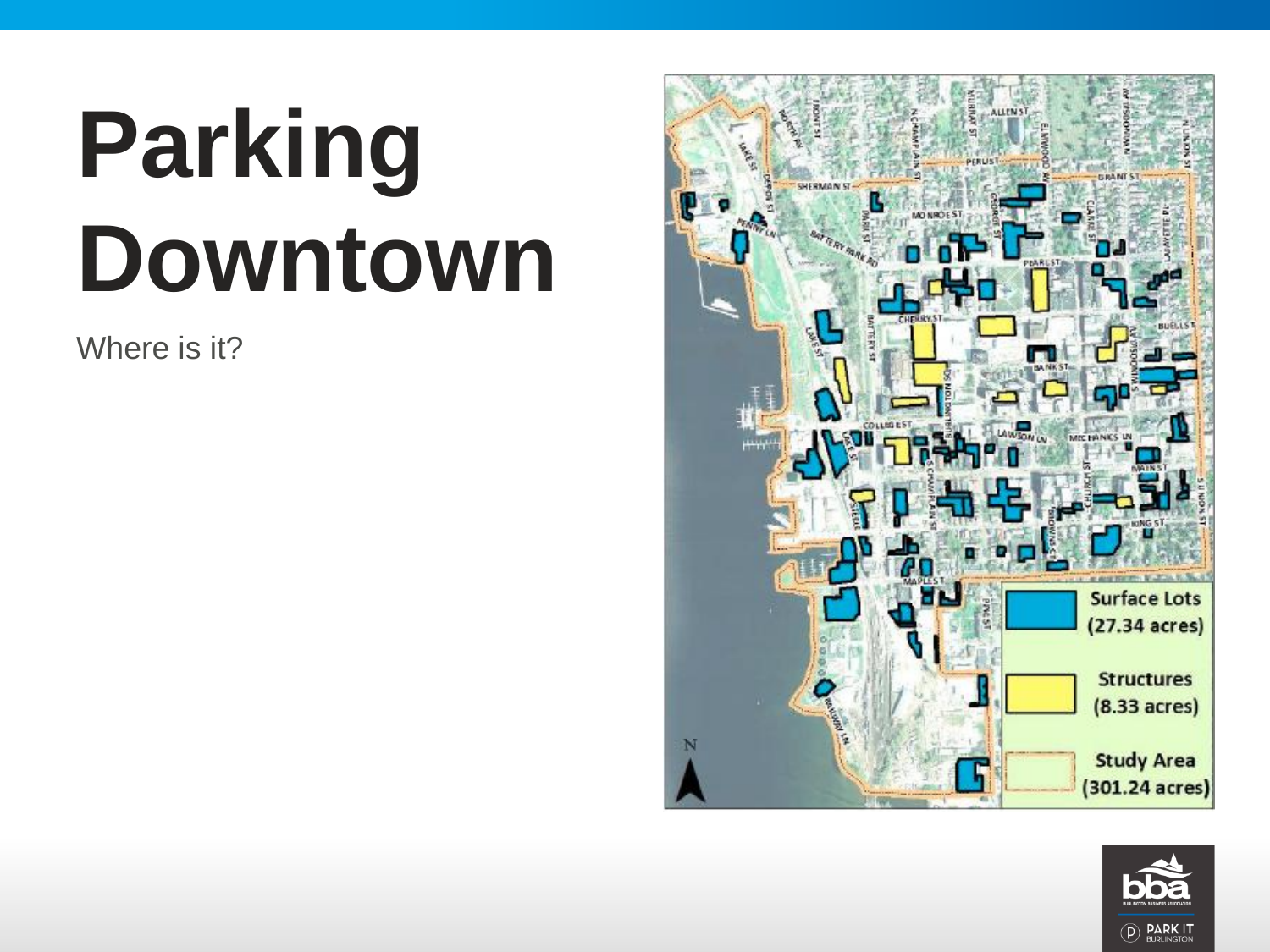# **Parking Downtown**

Where is it?



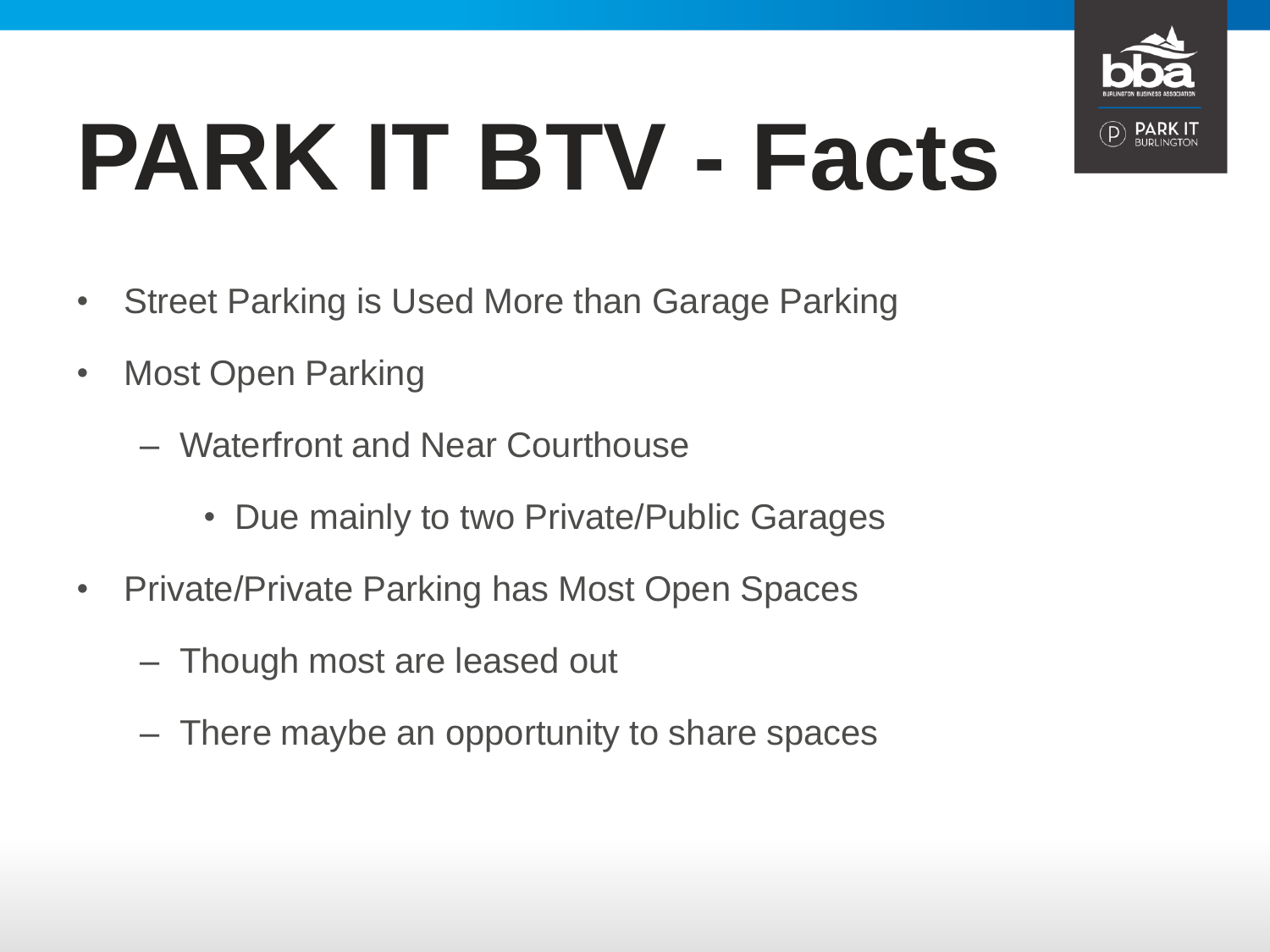

# **PARK IT BTV - Facts**

- Street Parking is Used More than Garage Parking
- Most Open Parking
	- Waterfront and Near Courthouse
		- Due mainly to two Private/Public Garages
- Private/Private Parking has Most Open Spaces
	- Though most are leased out
	- There maybe an opportunity to share spaces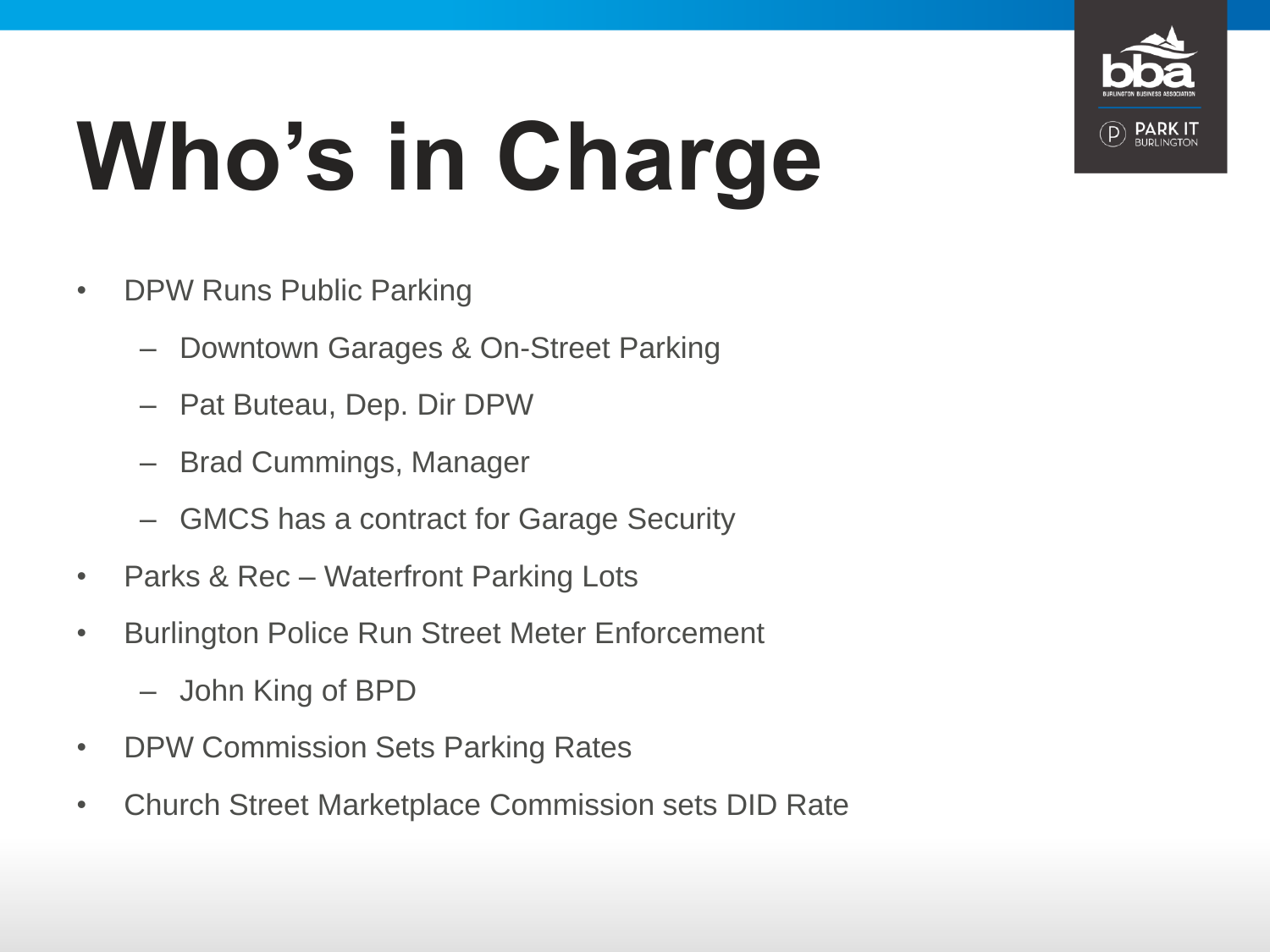

# **Who's in Charge**

- DPW Runs Public Parking
	- Downtown Garages & On-Street Parking
	- Pat Buteau, Dep. Dir DPW
	- Brad Cummings, Manager
	- GMCS has a contract for Garage Security
- Parks & Rec Waterfront Parking Lots
- Burlington Police Run Street Meter Enforcement
	- John King of BPD
- DPW Commission Sets Parking Rates
- Church Street Marketplace Commission sets DID Rate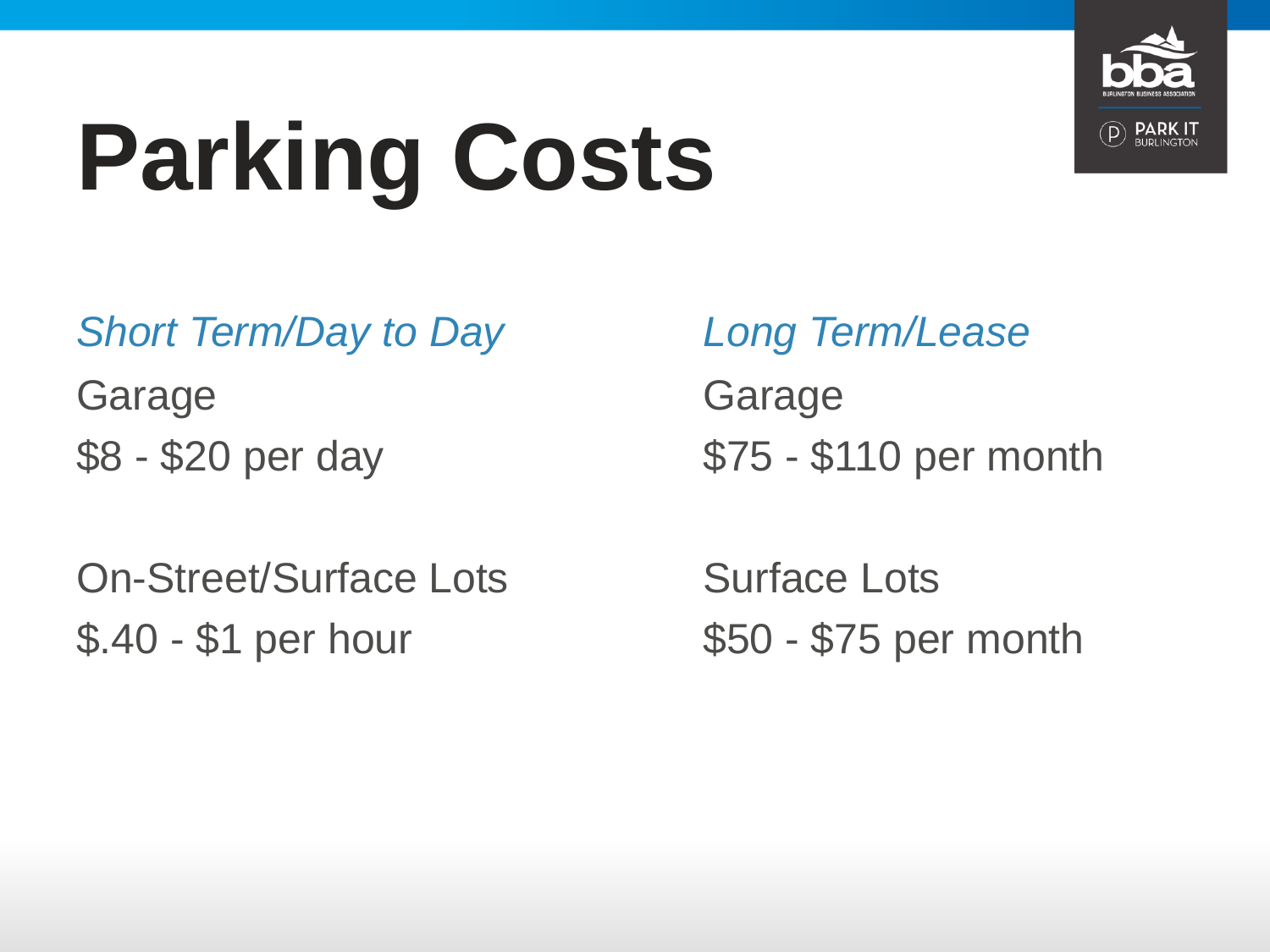

# **Parking Costs**

*Short Term/Day to Day*

Garage \$8 - \$20 per day

On-Street/Surface Lots \$.40 - \$1 per hour

Garage \$75 - \$110 per month *Long Term/Lease*

Surface Lots \$50 - \$75 per month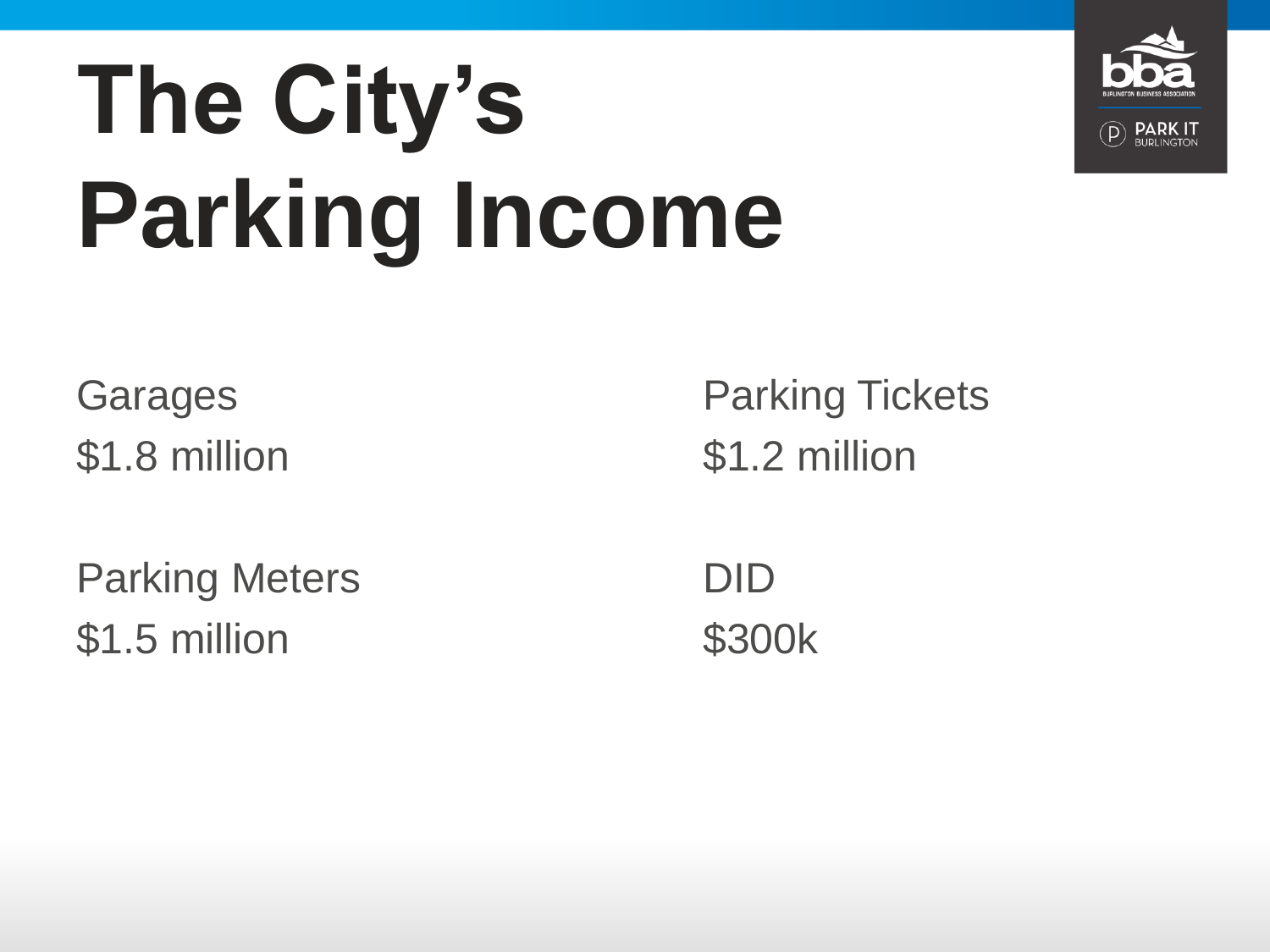# **The City's Parking Income**



**Garages** \$1.8 million

Parking Meters \$1.5 million

Parking Tickets \$1.2 million

DID \$300k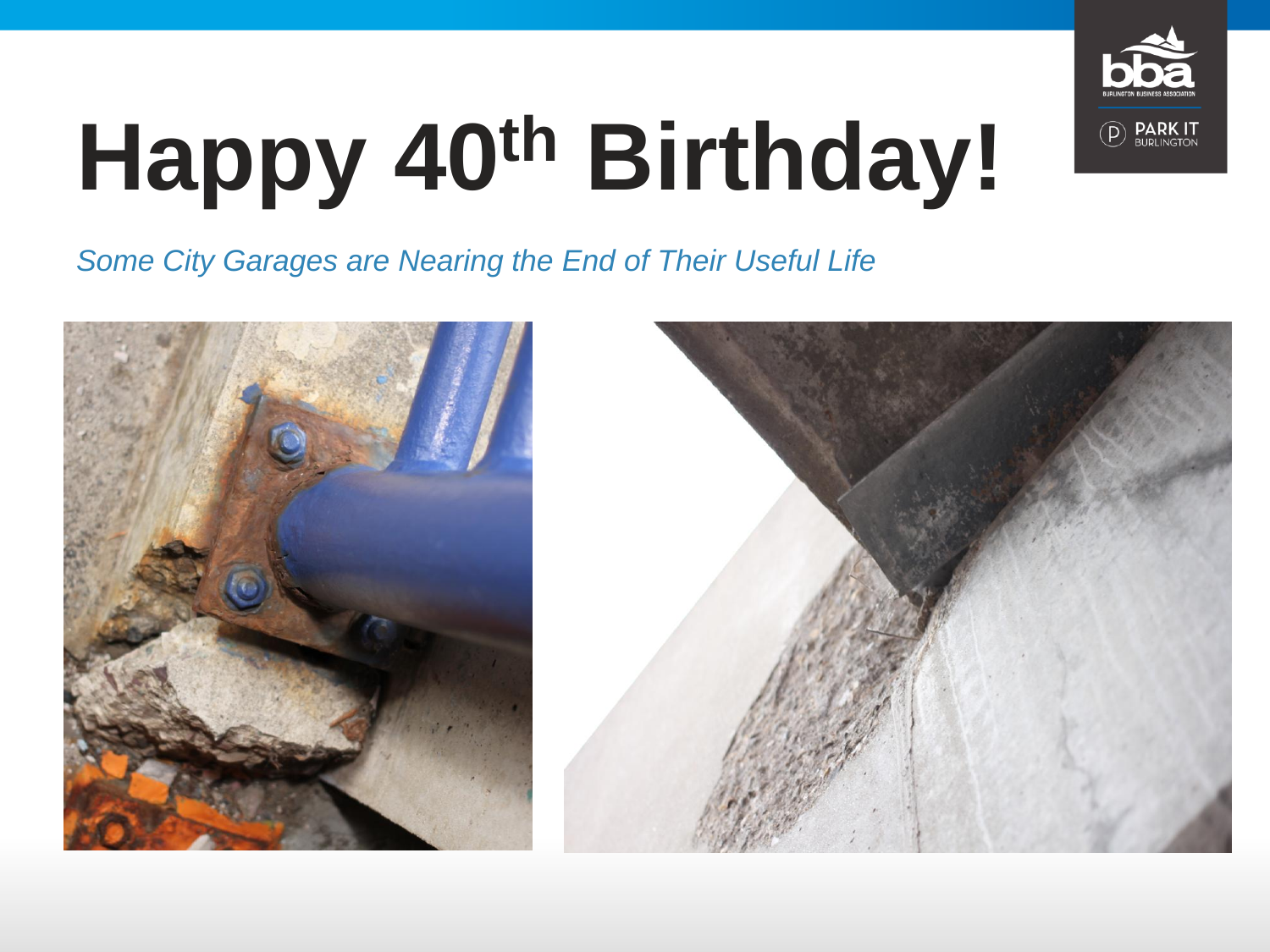

# **Happy 40th Birthday!**

*Some City Garages are Nearing the End of Their Useful Life*



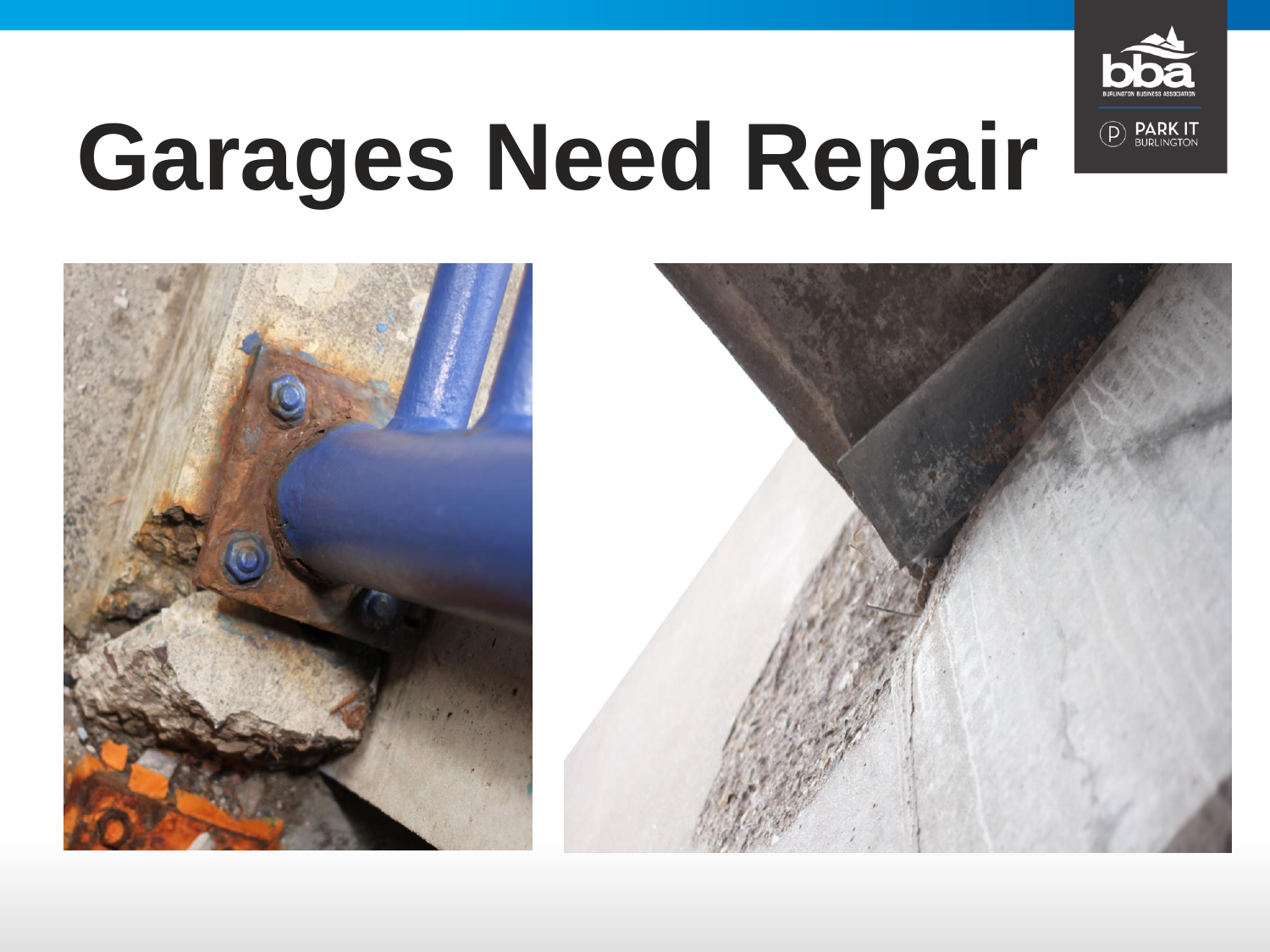

#### **Garages Need Repair**



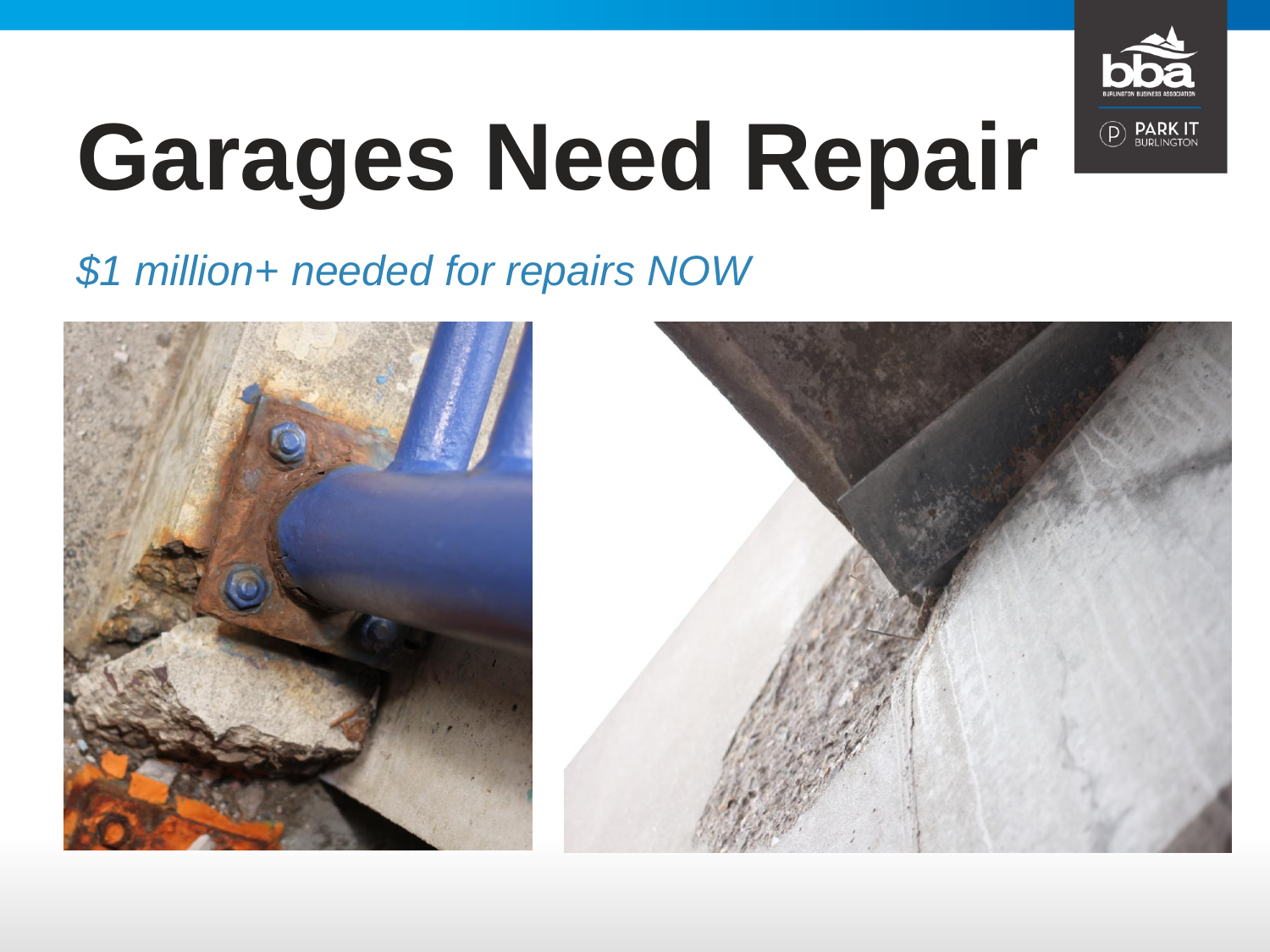

# **Garages Need Repair**

#### *\$1 million+ needed for repairs NOW*



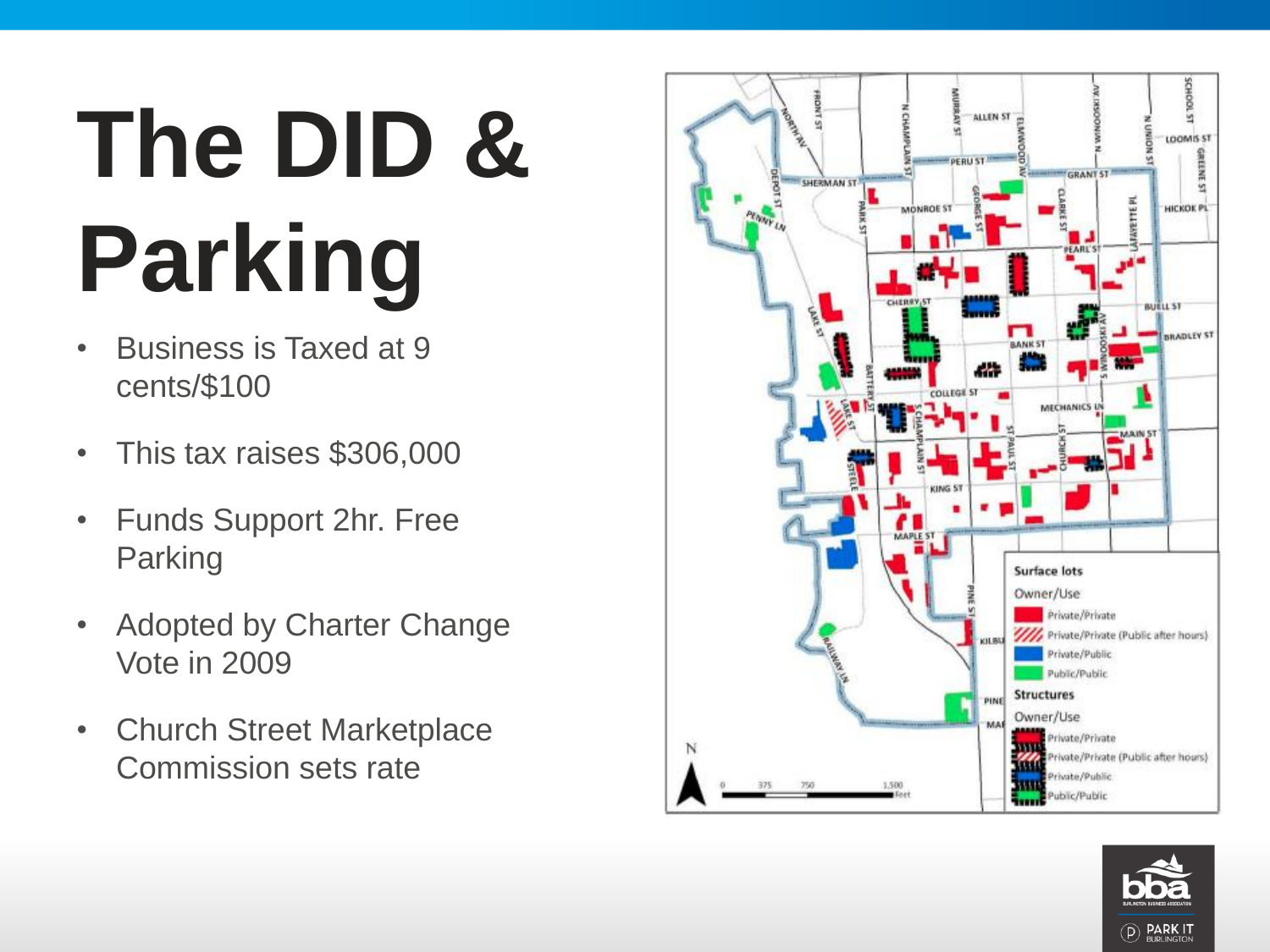# **The DID & Parking**

- Business is Taxed at 9 cents/\$100
- This tax raises \$306,000
- Funds Support 2hr. Free Parking
- Adopted by Charter Change Vote in 2009
- Church Street Marketplace Commission sets rate



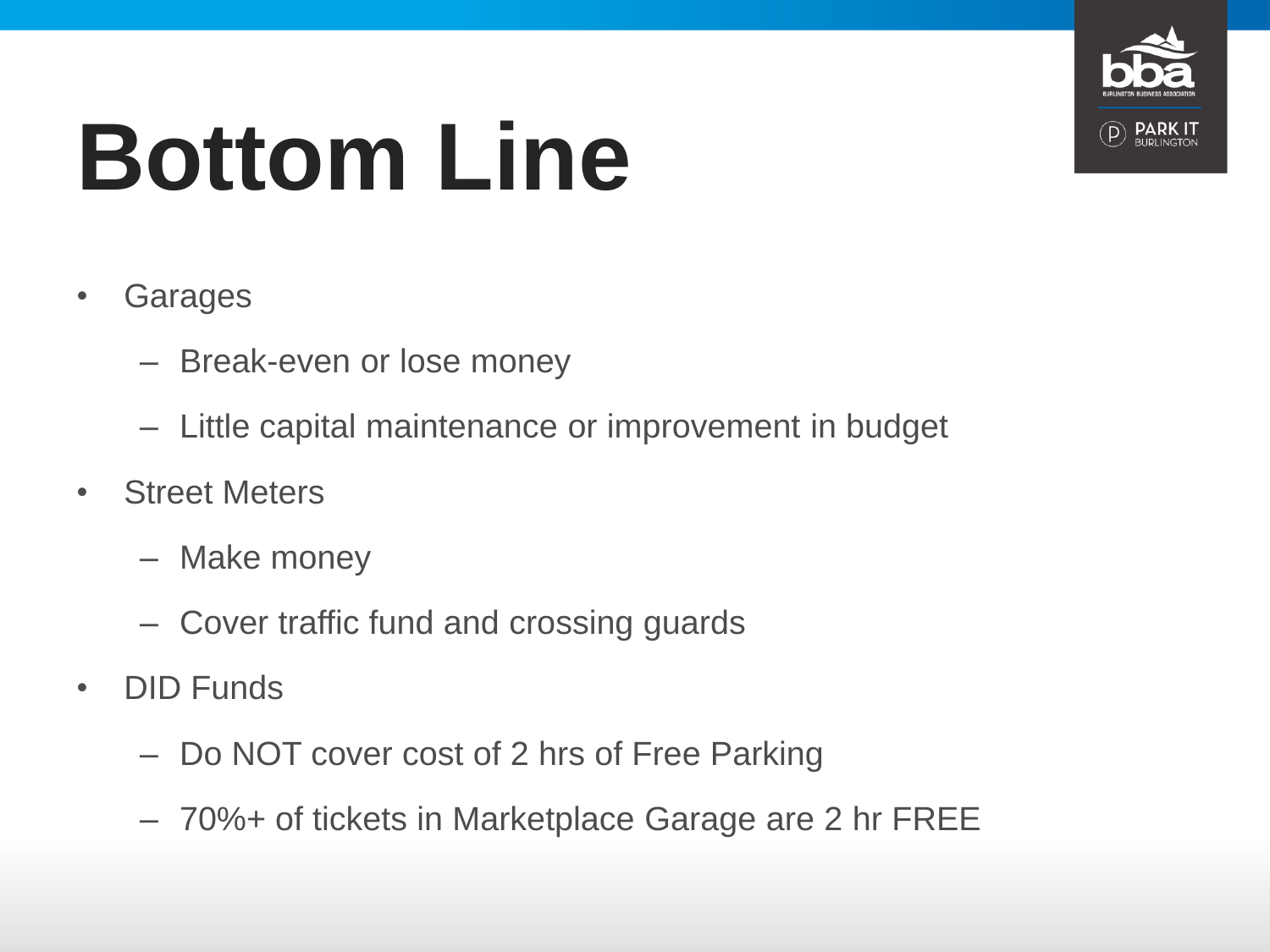

# **Bottom Line**

- Garages
	- Break-even or lose money
	- Little capital maintenance or improvement in budget
- Street Meters
	- Make money
	- Cover traffic fund and crossing guards
- DID Funds
	- Do NOT cover cost of 2 hrs of Free Parking
	- 70%+ of tickets in Marketplace Garage are 2 hr FREE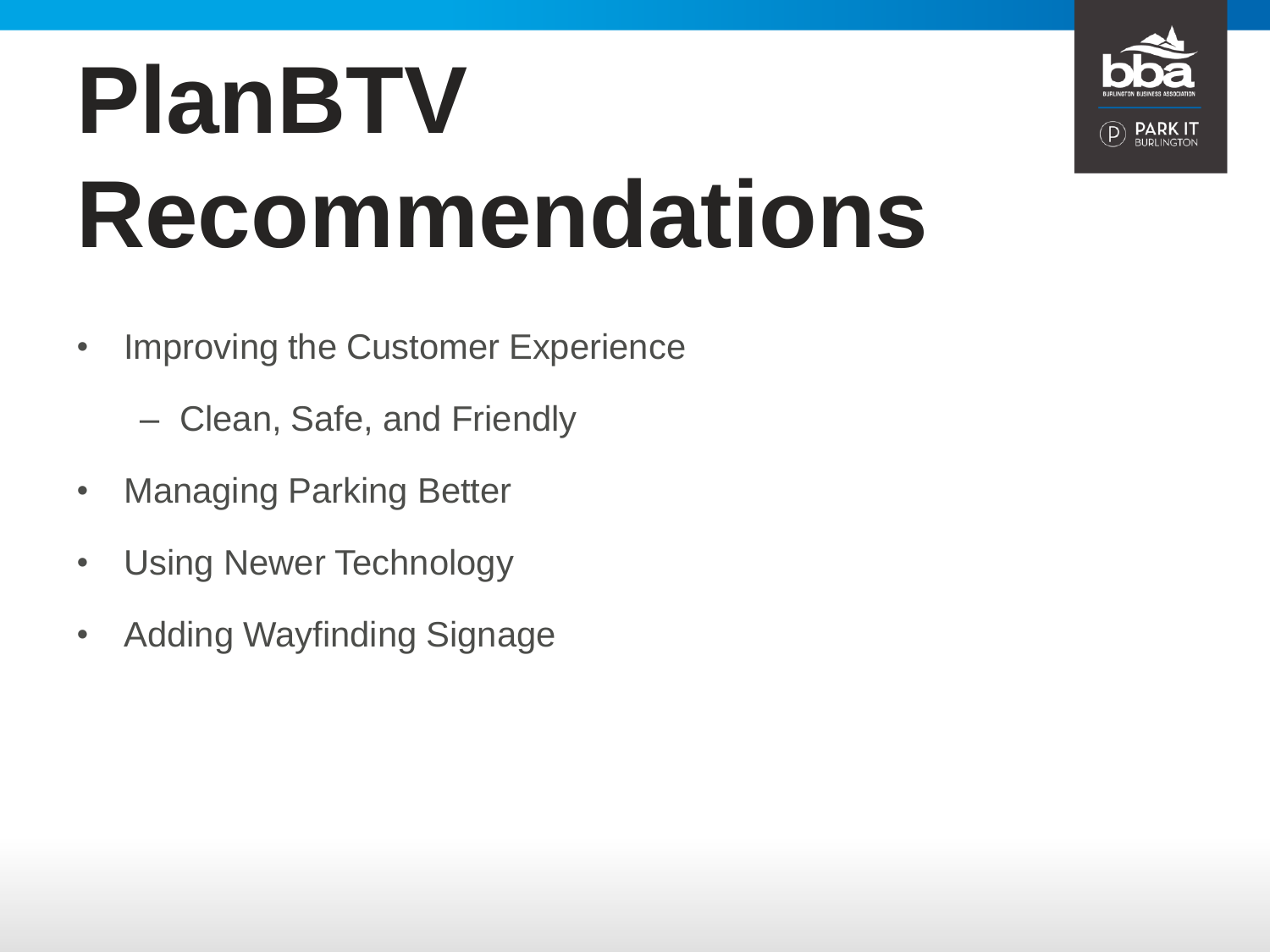# **PlanBTV Recommendations**

- Improving the Customer Experience
	- Clean, Safe, and Friendly
- Managing Parking Better
- Using Newer Technology
- Adding Wayfinding Signage

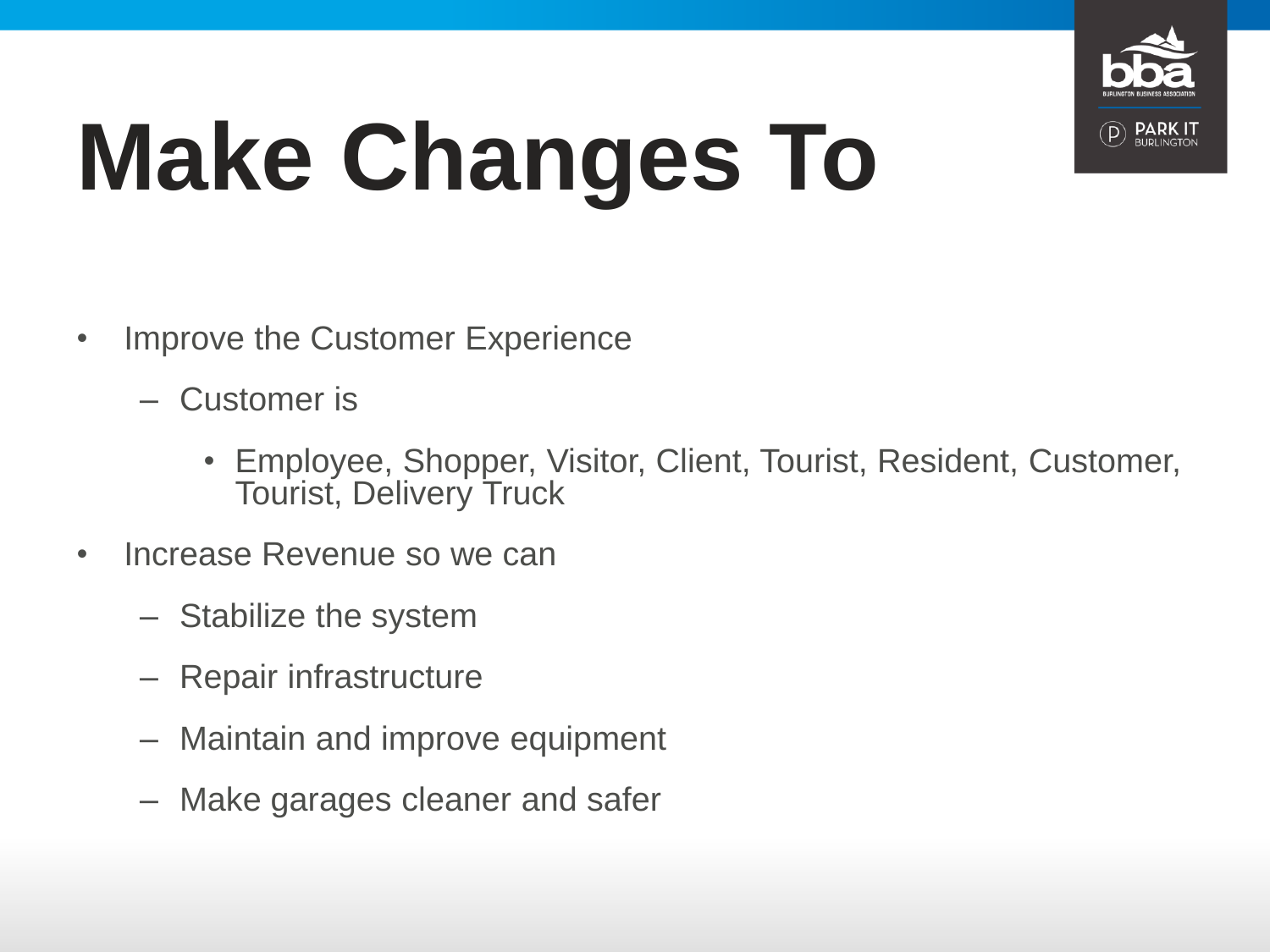

# **Make Changes To**

- Improve the Customer Experience
	- Customer is
		- Employee, Shopper, Visitor, Client, Tourist, Resident, Customer, Tourist, Delivery Truck
- Increase Revenue so we can
	- Stabilize the system
	- Repair infrastructure
	- Maintain and improve equipment
	- Make garages cleaner and safer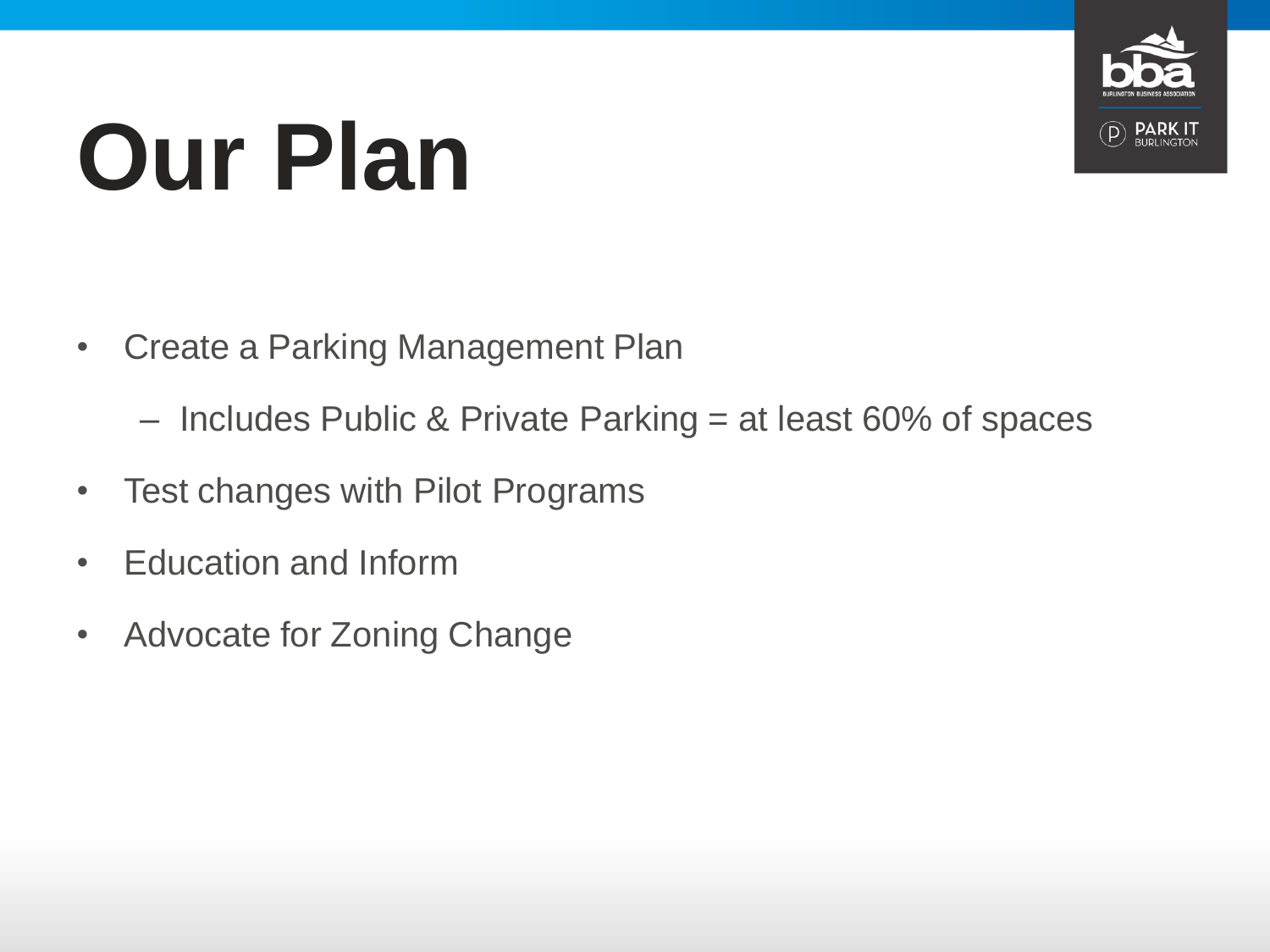

# **Our Plan**

- Create a Parking Management Plan
	- Includes Public & Private Parking = at least 60% of spaces
- Test changes with Pilot Programs
- Education and Inform
- Advocate for Zoning Change